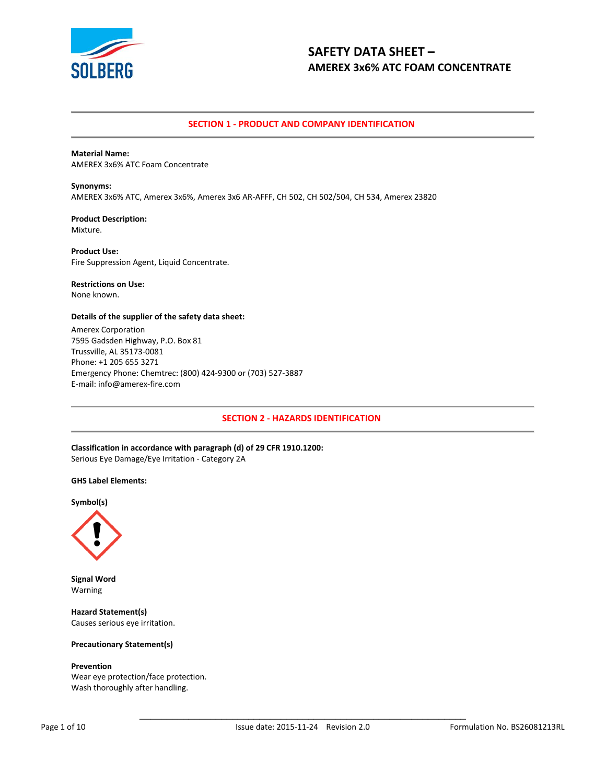

# **SECTION 1 - PRODUCT AND COMPANY IDENTIFICATION**

**Material Name:** AMEREX 3x6% ATC Foam Concentrate

**Synonyms:** AMEREX 3x6% ATC, Amerex 3x6%, Amerex 3x6 AR-AFFF, CH 502, CH 502/504, CH 534, Amerex 23820

**Product Description:** Mixture.

**Product Use:** Fire Suppression Agent, Liquid Concentrate.

# **Restrictions on Use:**

None known.

## **Details of the supplier of the safety data sheet:**

Amerex Corporation 7595 Gadsden Highway, P.O. Box 81 Trussville, AL 35173-0081 Phone: +1 205 655 3271 Emergency Phone: Chemtrec: (800) 424-9300 or (703) 527-3887 E-mail: info@amerex-fire.com

# **SECTION 2 - HAZARDS IDENTIFICATION**

**Classification in accordance with paragraph (d) of 29 CFR 1910.1200:** Serious Eye Damage/Eye Irritation - Category 2A

### **GHS Label Elements:**

**Symbol(s)**



**Signal Word** Warning

**Hazard Statement(s)** Causes serious eye irritation.

## **Precautionary Statement(s)**

### **Prevention**

Wear eye protection/face protection. Wash thoroughly after handling.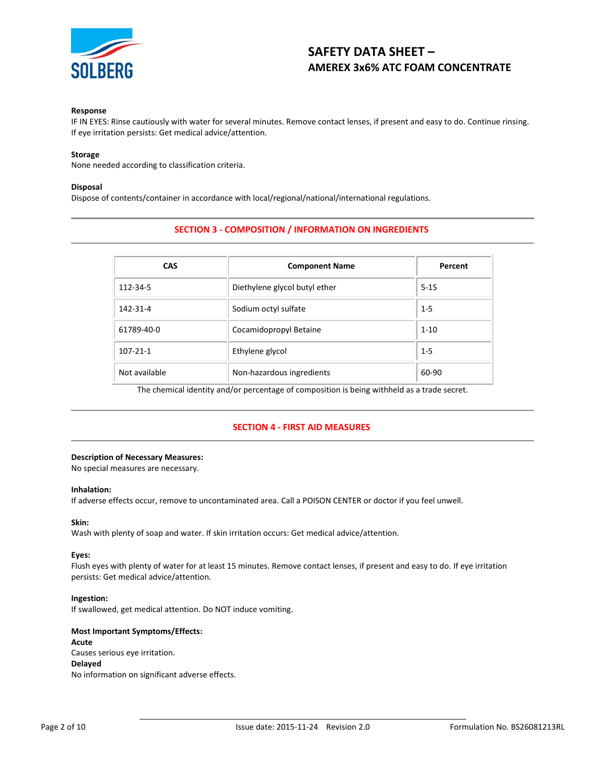

### **Response**

IF IN EYES: Rinse cautiously with water for several minutes. Remove contact lenses, if present and easy to do. Continue rinsing. If eye irritation persists: Get medical advice/attention.

### **Storage**

None needed according to classification criteria.

#### **Disposal**

Dispose of contents/container in accordance with local/regional/national/international regulations.

# **SECTION 3 - COMPOSITION / INFORMATION ON INGREDIENTS**

| <b>CAS</b>     | <b>Component Name</b>         | Percent  |
|----------------|-------------------------------|----------|
| 112-34-5       | Diethylene glycol butyl ether | $5 - 15$ |
| 142-31-4       | Sodium octyl sulfate          | $1 - 5$  |
| 61789-40-0     | Cocamidopropyl Betaine        | $1 - 10$ |
| $107 - 21 - 1$ | Ethylene glycol               | $1 - 5$  |
| Not available  | Non-hazardous ingredients     | 60-90    |

The chemical identity and/or percentage of composition is being withheld as a trade secret.

# **SECTION 4 - FIRST AID MEASURES**

## **Description of Necessary Measures:**

No special measures are necessary.

## **Inhalation:**

If adverse effects occur, remove to uncontaminated area. Call a POISON CENTER or doctor if you feel unwell.

### **Skin:**

Wash with plenty of soap and water. If skin irritation occurs: Get medical advice/attention.

## **Eyes:**

Flush eyes with plenty of water for at least 15 minutes. Remove contact lenses, if present and easy to do. If eye irritation persists: Get medical advice/attention.

### **Ingestion:**

If swallowed, get medical attention. Do NOT induce vomiting.

# **Most Important Symptoms/Effects: Acute** Causes serious eye irritation. **Delayed** No information on significant adverse effects.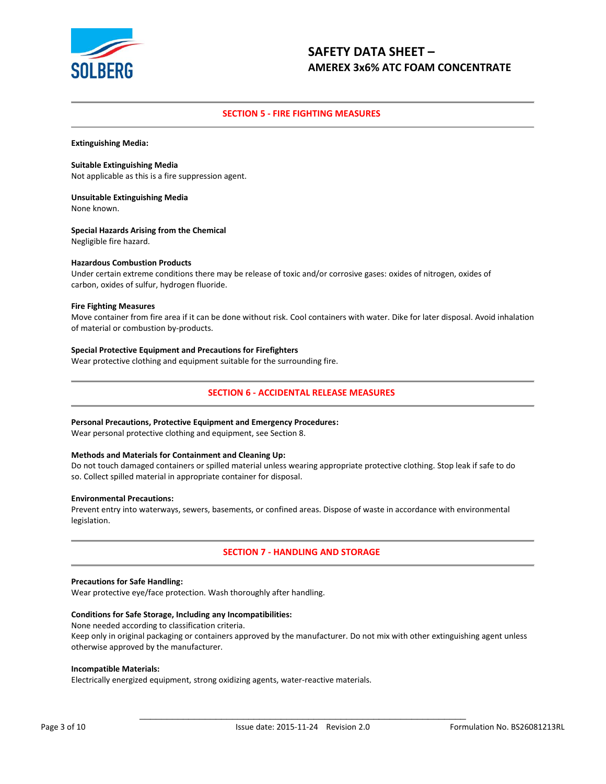

# **SECTION 5 - FIRE FIGHTING MEASURES**

**Extinguishing Media:**

**Suitable Extinguishing Media** Not applicable as this is a fire suppression agent.

**Unsuitable Extinguishing Media** None known.

**Special Hazards Arising from the Chemical** Negligible fire hazard.

# **Hazardous Combustion Products**

Under certain extreme conditions there may be release of toxic and/or corrosive gases: oxides of nitrogen, oxides of carbon, oxides of sulfur, hydrogen fluoride.

### **Fire Fighting Measures**

Move container from fire area if it can be done without risk. Cool containers with water. Dike for later disposal. Avoid inhalation of material or combustion by-products.

## **Special Protective Equipment and Precautions for Firefighters**

Wear protective clothing and equipment suitable for the surrounding fire.

# **SECTION 6 - ACCIDENTAL RELEASE MEASURES**

### **Personal Precautions, Protective Equipment and Emergency Procedures:**

Wear personal protective clothing and equipment, see Section 8.

### **Methods and Materials for Containment and Cleaning Up:**

Do not touch damaged containers or spilled material unless wearing appropriate protective clothing. Stop leak if safe to do so. Collect spilled material in appropriate container for disposal.

### **Environmental Precautions:**

Prevent entry into waterways, sewers, basements, or confined areas. Dispose of waste in accordance with environmental legislation.

# **SECTION 7 - HANDLING AND STORAGE**

### **Precautions for Safe Handling:**

Wear protective eye/face protection. Wash thoroughly after handling.

## **Conditions for Safe Storage, Including any Incompatibilities:**

None needed according to classification criteria.

Keep only in original packaging or containers approved by the manufacturer. Do not mix with other extinguishing agent unless otherwise approved by the manufacturer.

## **Incompatible Materials:**

Electrically energized equipment, strong oxidizing agents, water-reactive materials.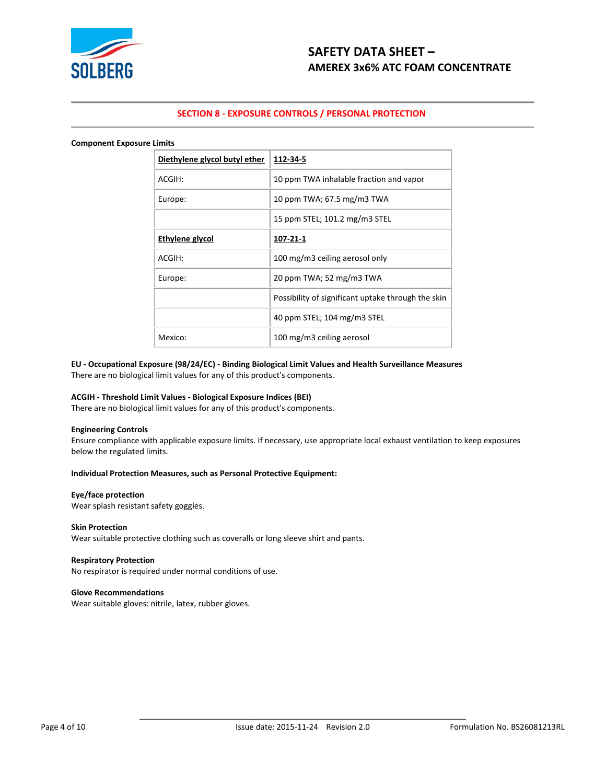

# **SECTION 8 - EXPOSURE CONTROLS / PERSONAL PROTECTION**

#### **Component Exposure Limits**

| Diethylene glycol butyl ether | 112-34-5                                           |
|-------------------------------|----------------------------------------------------|
| ACGIH:                        | 10 ppm TWA inhalable fraction and vapor            |
| Europe:                       | 10 ppm TWA; 67.5 mg/m3 TWA                         |
|                               | 15 ppm STEL; 101.2 mg/m3 STEL                      |
| Ethylene glycol               | 107-21-1                                           |
| ACGIH:                        | 100 mg/m3 ceiling aerosol only                     |
| Europe:                       | 20 ppm TWA; 52 mg/m3 TWA                           |
|                               | Possibility of significant uptake through the skin |
|                               | 40 ppm STEL; 104 mg/m3 STEL                        |
| Mexico:                       | 100 mg/m3 ceiling aerosol                          |

# **EU - Occupational Exposure (98/24/EC) - Binding Biological Limit Values and Health Surveillance Measures**

There are no biological limit values for any of this product's components.

## **ACGIH - Threshold Limit Values - Biological Exposure Indices (BEI)**

There are no biological limit values for any of this product's components.

# **Engineering Controls**

Ensure compliance with applicable exposure limits. If necessary, use appropriate local exhaust ventilation to keep exposures below the regulated limits.

## **Individual Protection Measures, such as Personal Protective Equipment:**

#### **Eye/face protection**

Wear splash resistant safety goggles.

## **Skin Protection**

Wear suitable protective clothing such as coveralls or long sleeve shirt and pants.

## **Respiratory Protection**

No respirator is required under normal conditions of use.

### **Glove Recommendations**

Wear suitable gloves: nitrile, latex, rubber gloves.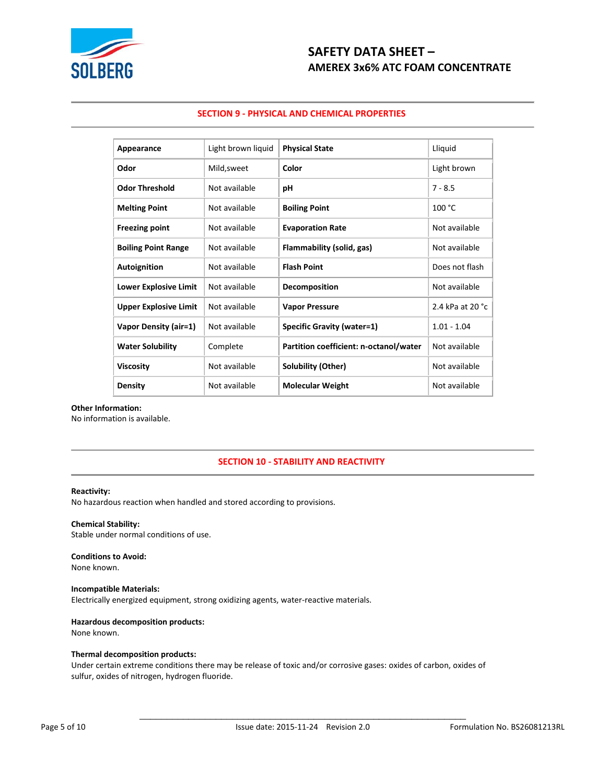

# **SECTION 9 - PHYSICAL AND CHEMICAL PROPERTIES**

| Appearance                   | Light brown liquid | <b>Physical State</b>                  | Lliquid          |
|------------------------------|--------------------|----------------------------------------|------------------|
| Odor                         | Mild, sweet        | Color                                  | Light brown      |
| <b>Odor Threshold</b>        | Not available      | рH                                     | $7 - 8.5$        |
| <b>Melting Point</b>         | Not available      | <b>Boiling Point</b>                   | 100 °C           |
| <b>Freezing point</b>        | Not available      | <b>Evaporation Rate</b>                | Not available    |
| <b>Boiling Point Range</b>   | Not available      | Flammability (solid, gas)              | Not available    |
| Autoignition                 | Not available      | <b>Flash Point</b>                     | Does not flash   |
| <b>Lower Explosive Limit</b> | Not available      | <b>Decomposition</b>                   | Not available    |
| <b>Upper Explosive Limit</b> | Not available      | <b>Vapor Pressure</b>                  | 2.4 kPa at 20 °C |
| Vapor Density (air=1)        | Not available      | Specific Gravity (water=1)             | $1.01 - 1.04$    |
| <b>Water Solubility</b>      | Complete           | Partition coefficient: n-octanol/water | Not available    |
| <b>Viscosity</b>             | Not available      | Solubility (Other)                     | Not available    |
| <b>Density</b>               | Not available      | <b>Molecular Weight</b>                | Not available    |

# **Other Information:**

No information is available.

# **SECTION 10 - STABILITY AND REACTIVITY**

## **Reactivity:**

No hazardous reaction when handled and stored according to provisions.

# **Chemical Stability:**

Stable under normal conditions of use.

# **Conditions to Avoid:**

None known.

# **Incompatible Materials:**

Electrically energized equipment, strong oxidizing agents, water-reactive materials.

## **Hazardous decomposition products:**

None known.

# **Thermal decomposition products:**

Under certain extreme conditions there may be release of toxic and/or corrosive gases: oxides of carbon, oxides of sulfur, oxides of nitrogen, hydrogen fluoride.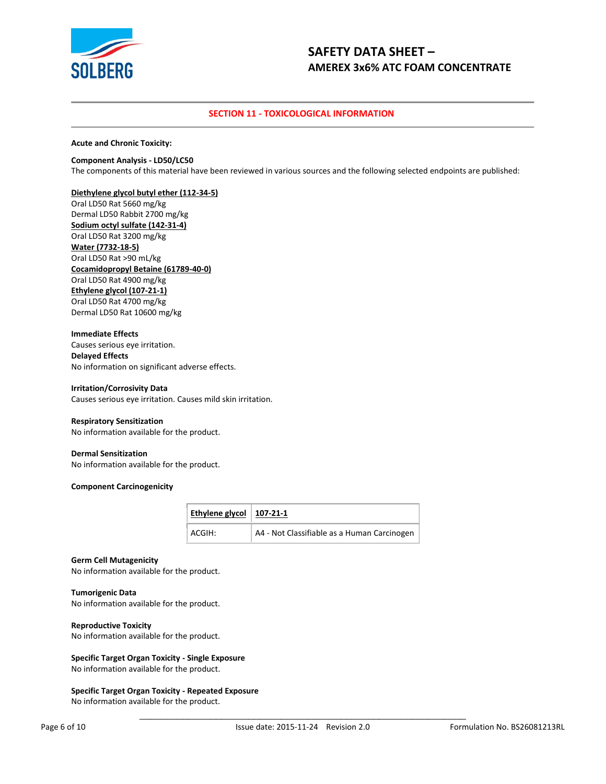

# **SECTION 11 - TOXICOLOGICAL INFORMATION**

**Acute and Chronic Toxicity:**

### **Component Analysis - LD50/LC50**

The components of this material have been reviewed in various sources and the following selected endpoints are published:

## **Diethylene glycol butyl ether (112-34-5)**

Oral LD50 Rat 5660 mg/kg Dermal LD50 Rabbit 2700 mg/kg **Sodium octyl sulfate (142-31-4)** Oral LD50 Rat 3200 mg/kg **Water (7732-18-5)** Oral LD50 Rat >90 mL/kg **Cocamidopropyl Betaine (61789-40-0)** Oral LD50 Rat 4900 mg/kg **Ethylene glycol (107-21-1)** Oral LD50 Rat 4700 mg/kg Dermal LD50 Rat 10600 mg/kg

### **Immediate Effects**

Causes serious eye irritation. **Delayed Effects** No information on significant adverse effects.

#### **Irritation/Corrosivity Data**

Causes serious eye irritation. Causes mild skin irritation.

### **Respiratory Sensitization**

No information available for the product.

### **Dermal Sensitization**

No information available for the product.

#### **Component Carcinogenicity**

| Ethylene glycol   $107-21-1$ |                                             |
|------------------------------|---------------------------------------------|
| ACGIH:                       | A4 - Not Classifiable as a Human Carcinogen |

## **Germ Cell Mutagenicity**

No information available for the product.

### **Tumorigenic Data**

No information available for the product.

### **Reproductive Toxicity**

No information available for the product.

## **Specific Target Organ Toxicity - Single Exposure**

No information available for the product.

## **Specific Target Organ Toxicity - Repeated Exposure**

No information available for the product.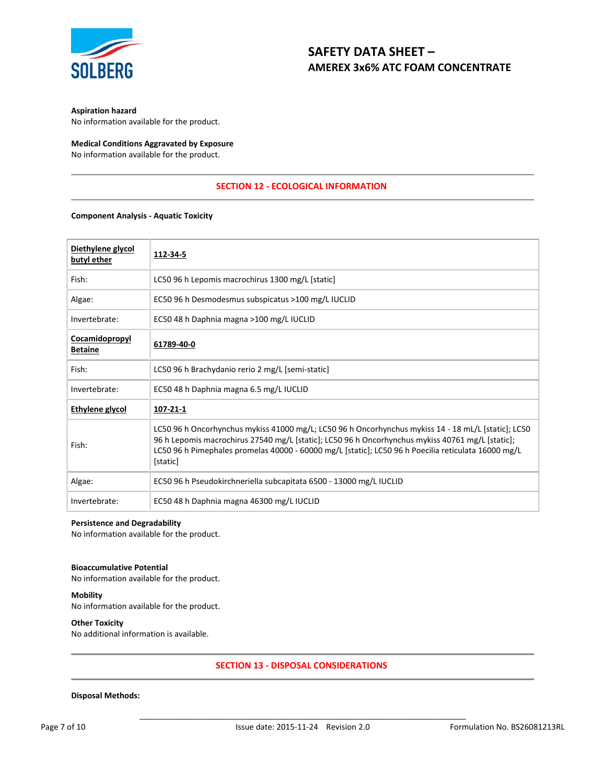

## **Aspiration hazard**

No information available for the product.

## **Medical Conditions Aggravated by Exposure** No information available for the product.

# **SECTION 12 - ECOLOGICAL INFORMATION**

### **Component Analysis - Aquatic Toxicity**

| Diethylene glycol<br>butyl ether | 112-34-5                                                                                                                                                                                                                                                                                                                   |
|----------------------------------|----------------------------------------------------------------------------------------------------------------------------------------------------------------------------------------------------------------------------------------------------------------------------------------------------------------------------|
| Fish:                            | LC50 96 h Lepomis macrochirus 1300 mg/L [static]                                                                                                                                                                                                                                                                           |
| Algae:                           | EC50 96 h Desmodesmus subspicatus >100 mg/L IUCLID                                                                                                                                                                                                                                                                         |
| Invertebrate:                    | EC50 48 h Daphnia magna >100 mg/L IUCLID                                                                                                                                                                                                                                                                                   |
| Cocamidopropyl<br><b>Betaine</b> | 61789-40-0                                                                                                                                                                                                                                                                                                                 |
| Fish:                            | LC50 96 h Brachydanio rerio 2 mg/L [semi-static]                                                                                                                                                                                                                                                                           |
| Invertebrate:                    | EC50 48 h Daphnia magna 6.5 mg/L IUCLID                                                                                                                                                                                                                                                                                    |
| Ethylene glycol                  | 107-21-1                                                                                                                                                                                                                                                                                                                   |
| Fish:                            | LC50 96 h Oncorhynchus mykiss 41000 mg/L; LC50 96 h Oncorhynchus mykiss 14 - 18 mL/L [static]; LC50<br>96 h Lepomis macrochirus 27540 mg/L [static]; LC50 96 h Oncorhynchus mykiss 40761 mg/L [static];<br>LC50 96 h Pimephales promelas 40000 - 60000 mg/L [static]; LC50 96 h Poecilia reticulata 16000 mg/L<br>[static] |
| Algae:                           | EC50 96 h Pseudokirchneriella subcapitata 6500 - 13000 mg/L IUCLID                                                                                                                                                                                                                                                         |
| Invertebrate:                    | EC50 48 h Daphnia magna 46300 mg/L IUCLID                                                                                                                                                                                                                                                                                  |

# **Persistence and Degradability**

No information available for the product.

# **Bioaccumulative Potential**

No information available for the product.

# **Mobility**

No information available for the product.

# **Other Toxicity**

No additional information is available.

# **SECTION 13 - DISPOSAL CONSIDERATIONS**

## **Disposal Methods:**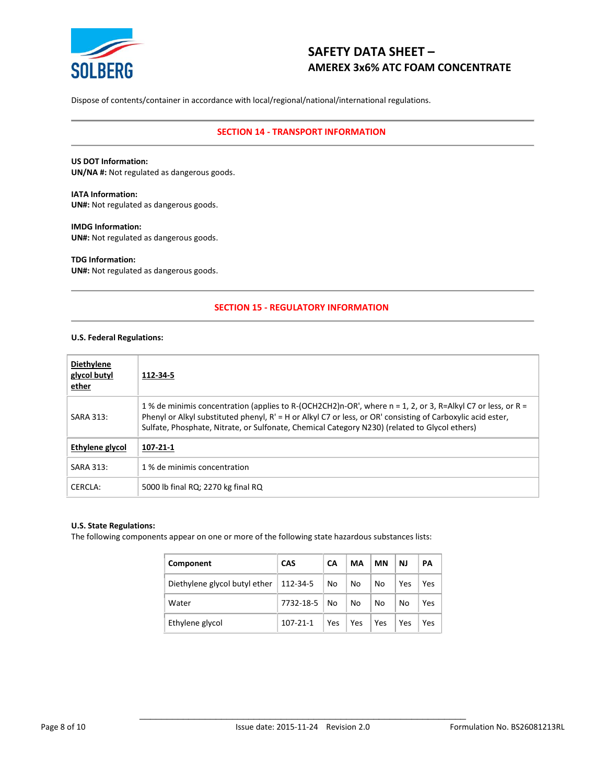

Dispose of contents/container in accordance with local/regional/national/international regulations.

# **SECTION 14 - TRANSPORT INFORMATION**

**US DOT Information: UN/NA #:** Not regulated as dangerous goods.

**IATA Information: UN#:** Not regulated as dangerous goods.

**IMDG Information: UN#:** Not regulated as dangerous goods.

**TDG Information: UN#:** Not regulated as dangerous goods.

# **SECTION 15 - REGULATORY INFORMATION**

## **U.S. Federal Regulations:**

| <b>Diethylene</b><br>glycol butyl<br>ether | 112-34-5                                                                                                                                                                                                                                                                                                                    |
|--------------------------------------------|-----------------------------------------------------------------------------------------------------------------------------------------------------------------------------------------------------------------------------------------------------------------------------------------------------------------------------|
| SARA 313:                                  | 1 % de minimis concentration (applies to R-(OCH2CH2)n-OR', where n = 1, 2, or 3, R=Alkyl C7 or less, or R =<br>Phenyl or Alkyl substituted phenyl, R' = H or Alkyl C7 or less, or OR' consisting of Carboxylic acid ester,<br>Sulfate, Phosphate, Nitrate, or Sulfonate, Chemical Category N230) (related to Glycol ethers) |
| Ethylene glycol                            | 107-21-1                                                                                                                                                                                                                                                                                                                    |
| SARA 313:                                  | 1 % de minimis concentration                                                                                                                                                                                                                                                                                                |
| CERCLA:                                    | 5000 lb final RQ; 2270 kg final RQ                                                                                                                                                                                                                                                                                          |

# **U.S. State Regulations:**

The following components appear on one or more of the following state hazardous substances lists:

| Component                                | <b>CAS</b>     | <b>CA</b> | MA         | ΜN  | <b>NJ</b> | PA  |
|------------------------------------------|----------------|-----------|------------|-----|-----------|-----|
| Diethylene glycol butyl ether   112-34-5 |                | No.       | No         | No  | Yes       | Yes |
| Water                                    | 7732-18-5 No   |           | No         | No  | No        | Yes |
| Ethylene glycol                          | $107 - 21 - 1$ | Yes       | <b>Yes</b> | Yes | Yes       | Yes |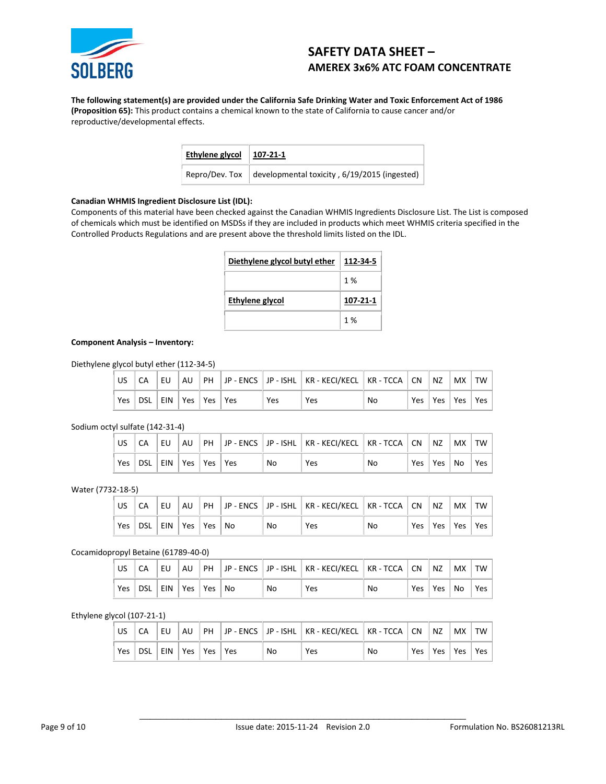

**The following statement(s) are provided under the California Safe Drinking Water and Toxic Enforcement Act of 1986 (Proposition 65):** This product contains a chemical known to the state of California to cause cancer and/or reproductive/developmental effects.

| Ethylene glycol | 107-21-1                                     |
|-----------------|----------------------------------------------|
| Repro/Dev. Tox  | developmental toxicity, 6/19/2015 (ingested) |

# **Canadian WHMIS Ingredient Disclosure List (IDL):**

Components of this material have been checked against the Canadian WHMIS Ingredients Disclosure List. The List is composed of chemicals which must be identified on MSDSs if they are included in products which meet WHMIS criteria specified in the Controlled Products Regulations and are present above the threshold limits listed on the IDL.

| Diethylene glycol butyl ether | 112-34-5 |
|-------------------------------|----------|
|                               | 1%       |
| Ethylene glycol               | 107-21-1 |
|                               | 1%       |

# **Component Analysis – Inventory:**

Diethylene glycol butyl ether (112-34-5)

| l us |                             | l EU. |  |            | AU   PH   JP - ENCS    JP - ISHL   KR - KECI/KECL   KR - TCCA   CN    NZ |    |     | $\mid$ MX $\mid$ TW $\mid$ |  |
|------|-----------------------------|-------|--|------------|--------------------------------------------------------------------------|----|-----|----------------------------|--|
| Yes  | DSL   EIN   Yes   Yes   Yes |       |  | <b>Yes</b> | Yes                                                                      | No | Yes | Yes   Yes   Yes            |  |

Sodium octyl sulfate (142-31-4)

|            |                     | EU | AU |  |    | PH   JP - ENCS   JP - ISHL   KR - KECI/KECL   KR - TCCA   CN   NZ |    |     |           | MX TW |     |
|------------|---------------------|----|----|--|----|-------------------------------------------------------------------|----|-----|-----------|-------|-----|
| <b>Yes</b> | DSL EIN Yes Yes Yes |    |    |  | No | <b>Yes</b>                                                        | No | Yes | ∣ Yes ∣No |       | Yes |

Water (7732-18-5)

| US  |                    | EU |  |    | AU   PH   JP - ENCS    JP - ISHL    KR - KECI/KECL    KR - TCCA    CN    NZ |    |                       | MX   TW |  |
|-----|--------------------|----|--|----|-----------------------------------------------------------------------------|----|-----------------------|---------|--|
| Yes | DSL EIN Yes Yes No |    |  | No | <b>Yes</b>                                                                  | No | Yes   Yes   Yes   Yes |         |  |

### Cocamidopropyl Betaine (61789-40-0)

|     |             | l EU. |                        |  |    | AU PH JP - ENCS JP - ISHL KR - KECI/KECL KR - TCCA CN NZ |    |     |          | $ $ MX $ $ TW $ $ |     |
|-----|-------------|-------|------------------------|--|----|----------------------------------------------------------|----|-----|----------|-------------------|-----|
| Yes | † dsl∣ein . |       | $ $ Yes $ $ Yes $ $ No |  | No | Yes                                                      | No | Yes | Yes   No |                   | Yes |

# Ethylene glycol (107-21-1)

|     |                             | l EU. |  |    | AU   PH   JP - ENCS   JP - ISHL   KR - KECI/KECL   KR - TCCA   CN   NZ   MX   TW |    |  |                       |  |
|-----|-----------------------------|-------|--|----|----------------------------------------------------------------------------------|----|--|-----------------------|--|
| Yes | DSL   EIN   Yes   Yes   Yes |       |  | No | Yes                                                                              | No |  | Yes   Yes   Yes   Yes |  |